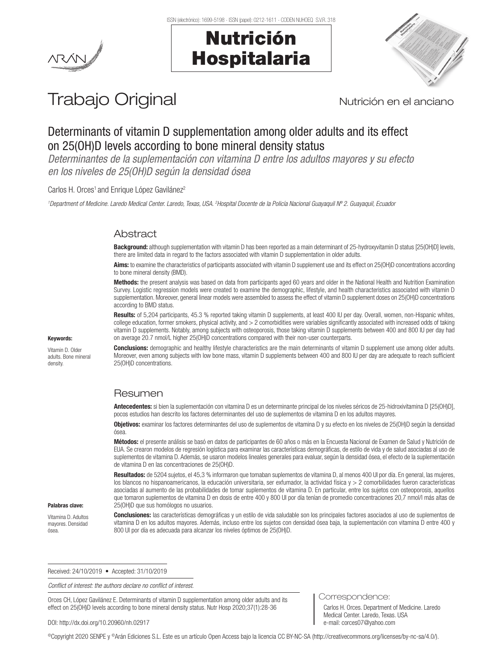



# Trabajo Original Nutrición en el anciano

# Determinants of vitamin D supplementation among older adults and its effect on 25(OH)D levels according to bone mineral density status

*Determinantes de la suplementación con vitamina D entre los adultos mayores y su efecto en los niveles de 25(OH)D según la densidad ósea* 

Carlos H. Orces<sup>1</sup> and Enrique López Gavilánez<sup>2</sup>

<sup>1</sup>Department of Medicine. Laredo Medical Center. Laredo, Texas, USA. <sup>2</sup>Hospital Docente de la Policía Nacional Guayaquil Nº 2. Guayaquil, Ecuador

# Abstract

Background: although supplementation with vitamin D has been reported as a main determinant of 25-hydroxyvitamin D status [25(OH)D] levels, there are limited data in regard to the factors associated with vitamin D supplementation in older adults.

Aims: to examine the characteristics of participants associated with vitamin D supplement use and its effect on 25(OH)D concentrations according to bone mineral density (BMD).

Methods: the present analysis was based on data from participants aged 60 years and older in the National Health and Nutrition Examination Survey. Logistic regression models were created to examine the demographic, lifestyle, and health characteristics associated with vitamin D supplementation. Moreover, general linear models were assembled to assess the effect of vitamin D supplement doses on 25(OH)D concentrations according to BMD status.

Results: of 5,204 participants, 45.3 % reported taking vitamin D supplements, at least 400 IU per day. Overall, women, non-Hispanic whites, college education, former smokers, physical activity, and > 2 comorbidities were variables significantly associated with increased odds of taking vitamin D supplements. Notably, among subjects with osteoporosis, those taking vitamin D supplements between 400 and 800 IU per day had on average 20.7 nmol/L higher 25(OH)D concentrations compared with their non-user counterparts.

#### Keywords:

Vitamin D. Older adults. Bone mineral density.

**Conclusions:** demographic and healthy lifestyle characteristics are the main determinants of vitamin D supplement use among older adults. Moreover, even among subjects with low bone mass, vitamin D supplements between 400 and 800 IU per day are adequate to reach sufficient 25(OH)D concentrations.

# Resumen

Antecedentes: si bien la suplementación con vitamina D es un determinante principal de los niveles séricos de 25-hidroxivitamina D [25(OH)D]. pocos estudios han descrito los factores determinantes del uso de suplementos de vitamina D en los adultos mayores.

Objetivos: examinar los factores determinantes del uso de suplementos de vitamina D y su efecto en los niveles de 25(OH)D según la densidad ósea.

Métodos: el presente análisis se basó en datos de participantes de 60 años o más en la Encuesta Nacional de Examen de Salud y Nutrición de EUA. Se crearon modelos de regresión logística para examinar las características demográficas, de estilo de vida y de salud asociadas al uso de suplementos de vitamina D. Además, se usaron modelos lineales generales para evaluar, según la densidad ósea, el efecto de la suplementación de vitamina D en las concentraciones de 25(OH)D.

Resultados: de 5204 sujetos, el 45,3 % informaron que tomaban suplementos de vitamina D, al menos 400 UI por día. En general, las mujeres, los blancos no hispanoamericanos, la educación universitaria, ser exfumador, la actividad física y > 2 comorbilidades fueron características asociadas al aumento de las probabilidades de tomar suplementos de vitamina D. En particular, entre los sujetos con osteoporosis, aquellos que tomaron suplementos de vitamina D en dosis de entre 400 y 800 UI por día tenían de promedio concentraciones 20,7 nmol/l más altas de 25(OH)D que sus homólogos no usuarios.

#### Palabras clave:

Vitamina D. Adultos mayores. Densidad ósea.

Conclusiones: las características demográficas y un estilo de vida saludable son los principales factores asociados al uso de suplementos de vitamina D en los adultos mayores. Además, incluso entre los sujetos con densidad ósea baja, la suplementación con vitamina D entre 400 y 800 UI por día es adecuada para alcanzar los niveles óptimos de 25(OH)D.

Received: 24/10/2019 • Accepted: 31/10/2019

*Conflict of interest: the authors declare no conflict of interest.*

Orces CH, López Gavilánez E. Determinants of vitamin D supplementation among older adults and its effect on 25(OH)D levels according to bone mineral density status. Nutr Hosp 2020;37(1):28-36

DOI: http://dx.doi.org/10.20960/nh.02917

Correspondence:

Carlos H. Orces. Department of Medicine. Laredo Medical Center. Laredo, Texas. USA e-mail: corces07@yahoo.com

©Copyright 2020 SENPE y ©Arán Ediciones S.L. Este es un artículo Open Access bajo la licencia CC BY-NC-SA (http://creativecommons.org/licenses/by-nc-sa/4.0/).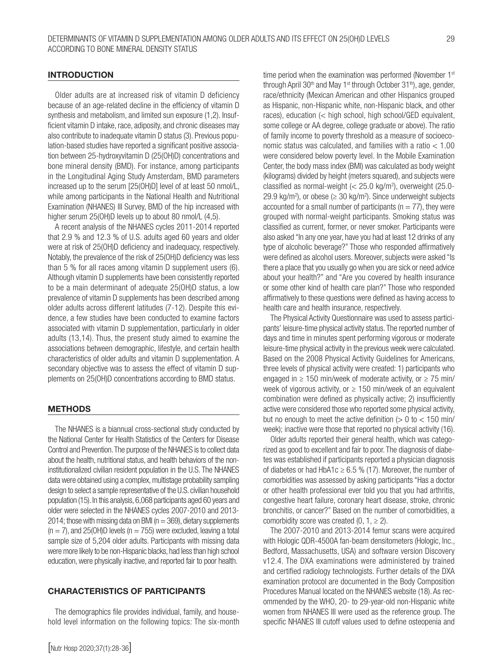# INTRODUCTION

Older adults are at increased risk of vitamin D deficiency because of an age-related decline in the efficiency of vitamin D synthesis and metabolism, and limited sun exposure (1,2). Insufficient vitamin D intake, race, adiposity, and chronic diseases may also contribute to inadequate vitamin D status (3). Previous population-based studies have reported a significant positive association between 25-hydroxyvitamin D (25(OH)D) concentrations and bone mineral density (BMD). For instance, among participants in the Longitudinal Aging Study Amsterdam, BMD parameters increased up to the serum [25(OH)D] level of at least 50 nmol/L, while among participants in the National Health and Nutritional Examination (NHANES) III Survey, BMD of the hip increased with higher serum 25(OH)D levels up to about 80 nmol/L (4,5).

A recent analysis of the NHANES cycles 2011-2014 reported that 2.9 % and 12.3 % of U.S. adults aged 60 years and older were at risk of 25(OH)D deficiency and inadequacy, respectively. Notably, the prevalence of the risk of 25(OH)D deficiency was less than 5 % for all races among vitamin D supplement users (6). Although vitamin D supplements have been consistently reported to be a main determinant of adequate 25(OH)D status, a low prevalence of vitamin D supplements has been described among older adults across different latitudes (7-12). Despite this evidence, a few studies have been conducted to examine factors associated with vitamin D supplementation, particularly in older adults (13,14). Thus, the present study aimed to examine the associations between demographic, lifestyle, and certain health characteristics of older adults and vitamin D supplementation. A secondary objective was to assess the effect of vitamin D supplements on 25(OH)D concentrations according to BMD status.

# **METHODS**

The NHANES is a biannual cross-sectional study conducted by the National Center for Health Statistics of the Centers for Disease Control and Prevention. The purpose of the NHANES is to collect data about the health, nutritional status, and health behaviors of the noninstitutionalized civilian resident population in the U.S. The NHANES data were obtained using a complex, multistage probability sampling design to select a sample representative of the U.S. civilian household population (15). In this analysis, 6,068 participants aged 60 years and older were selected in the NHANES cycles 2007-2010 and 2013- 2014; those with missing data on BMI ( $n = 369$ ), dietary supplements  $(n = 7)$ , and 25(OH)D levels  $(n = 755)$  were excluded, leaving a total sample size of 5,204 older adults. Participants with missing data were more likely to be non-Hispanic blacks, had less than high school education, were physically inactive, and reported fair to poor health.

#### CHARACTERISTICS OF PARTICIPANTS

The demographics file provides individual, family, and household level information on the following topics: The six-month time period when the examination was performed (November 1<sup>st</sup> through April 30<sup>th</sup> and May 1<sup>st</sup> through October 31<sup>th</sup>), age, gender, race/ethnicity (Mexican American and other Hispanics grouped as Hispanic, non-Hispanic white, non-Hispanic black, and other races), education (< high school, high school/GED equivalent, some college or AA degree, college graduate or above). The ratio of family income to poverty threshold as a measure of socioeconomic status was calculated, and families with a ratio < 1.00 were considered below poverty level. In the Mobile Examination Center, the body mass index (BMI) was calculated as body weight (kilograms) divided by height (meters squared), and subjects were classified as normal-weight  $\approx 25.0$  kg/m<sup>2</sup>), overweight (25.0-29.9 kg/m<sup>2</sup>), or obese ( $\geq$  30 kg/m<sup>2</sup>). Since underweight subjects accounted for a small number of participants ( $n = 77$ ), they were grouped with normal-weight participants. Smoking status was classified as current, former, or never smoker. Participants were also asked "In any one year, have you had at least 12 drinks of any type of alcoholic beverage?" Those who responded affirmatively were defined as alcohol users. Moreover, subjects were asked "Is there a place that you usually go when you are sick or need advice about your health?" and "Are you covered by health insurance or some other kind of health care plan?" Those who responded affirmatively to these questions were defined as having access to health care and health insurance, respectively.

The Physical Activity Questionnaire was used to assess participants' leisure-time physical activity status. The reported number of days and time in minutes spent performing vigorous or moderate leisure-time physical activity in the previous week were calculated. Based on the 2008 Physical Activity Guidelines for Americans, three levels of physical activity were created: 1) participants who engaged in  $\geq$  150 min/week of moderate activity, or  $\geq$  75 min/ week of vigorous activity, or  $\geq$  150 min/week of an equivalent combination were defined as physically active; 2) insufficiently active were considered those who reported some physical activity, but no enough to meet the active definition  $(> 0$  to  $< 150$  min/ week); inactive were those that reported no physical activity (16).

Older adults reported their general health, which was categorized as good to excellent and fair to poor. The diagnosis of diabetes was established if participants reported a physician diagnosis of diabetes or had HbA1c  $\geq$  6.5 % (17). Moreover, the number of comorbidities was assessed by asking participants "Has a doctor or other health professional ever told you that you had arthritis, congestive heart failure, coronary heart disease, stroke, chronic bronchitis, or cancer?" Based on the number of comorbidities, a comorbidity score was created  $(0, 1, \ge 2)$ .

The 2007-2010 and 2013-2014 femur scans were acquired with Hologic QDR-4500A fan-beam densitometers (Hologic, Inc., Bedford, Massachusetts, USA) and software version Discovery v12.4. The DXA examinations were administered by trained and certified radiology technologists. Further details of the DXA examination protocol are documented in the Body Composition Procedures Manual located on the NHANES website (18). As recommended by the WHO, 20- to 29-year-old non-Hispanic white women from NHANES III were used as the reference group. The specific NHANES III cutoff values used to define osteopenia and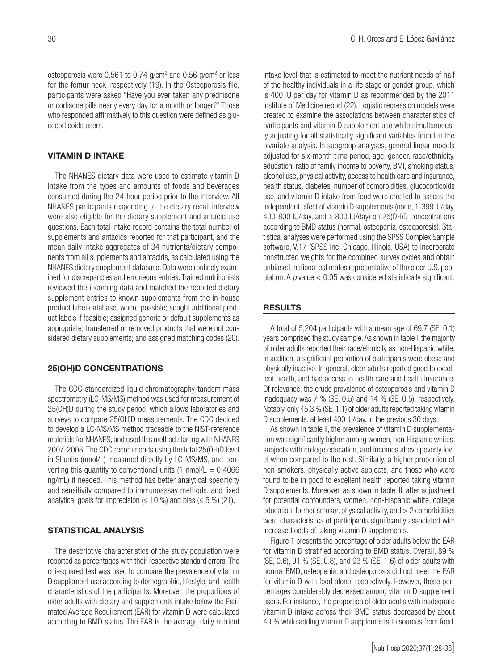osteoporosis were  $0.561$  to  $0.74$  g/cm<sup>2</sup> and  $0.56$  g/cm<sup>2</sup> or less for the femur neck, respectively (19). In the Osteoporosis file, participants were asked "Have you ever taken any prednisone or cortisone pills nearly every day for a month or longer?" Those who responded affirmatively to this question were defined as glucocorticoids users.

# VITAMIN D INTAKE

The NHANES dietary data were used to estimate vitamin D intake from the types and amounts of foods and beverages consumed during the 24-hour period prior to the interview. All NHANES participants responding to the dietary recall interview were also eligible for the dietary supplement and antacid use questions. Each total intake record contains the total number of supplements and antacids reported for that participant, and the mean daily intake aggregates of 34 nutrients/dietary components from all supplements and antacids, as calculated using the NHANES dietary supplement database. Data were routinely examined for discrepancies and erroneous entries. Trained nutritionists reviewed the incoming data and matched the reported dietary supplement entries to known supplements from the in-house product label database, where possible; sought additional product labels if feasible; assigned generic or default supplements as appropriate; transferred or removed products that were not considered dietary supplements; and assigned matching codes (20).

# 25(OH)D CONCENTRATIONS

The CDC-standardized liquid chromatography-tandem mass spectrometry (LC-MS/MS) method was used for measurement of 25(OH)D during the study period, which allows laboratories and surveys to compare 25(OH)D measurements. The CDC decided to develop a LC-MS/MS method traceable to the NIST-reference materials for NHANES, and used this method starting with NHANES 2007-2008. The CDC recommends using the total 25(OH)D level in SI units (nmol/L) measured directly by LC-MS/MS, and converting this quantity to conventional units (1 nmol/ $L = 0.4066$ ) ng/mL) if needed. This method has better analytical specificity and sensitivity compared to immunoassay methods, and fixed analytical goals for imprecision ( $\leq$  10 %) and bias ( $\leq$  5 %) (21).

# STATISTICAL ANALYSIS

The descriptive characteristics of the study population were reported as percentages with their respective standard errors. The chi-squared test was used to compare the prevalence of vitamin D supplement use according to demographic, lifestyle, and health characteristics of the participants. Moreover, the proportions of older adults with dietary and supplements intake below the Estimated Average Requirement (EAR) for vitamin D were calculated according to BMD status. The EAR is the average daily nutrient intake level that is estimated to meet the nutrient needs of half of the healthy individuals in a life stage or gender group, which is 400 IU per day for vitamin D as recommended by the 2011 Institute of Medicine report (22). Logistic regression models were created to examine the associations between characteristics of participants and vitamin D supplement use while simultaneously adjusting for all statistically significant variables found in the bivariate analysis. In subgroup analyses, general linear models adjusted for six-month time period, age, gender, race/ethnicity, education, ratio of family income to poverty, BMI, smoking status, alcohol use, physical activity, access to health care and insurance, health status, diabetes, number of comorbidities, glucocorticoids use, and vitamin D intake from food were created to assess the independent effect of vitamin D supplements (none, 1-399 IU/day, 400-800 IU/day, and  $\geq$  800 IU/day) on 25(OH)D concentrations according to BMD status (normal, osteopenia, osteoporosis). Statistical analyses were performed using the SPSS Complex Sample software, V.17 (SPSS Inc, Chicago, Illinois, USA) to incorporate constructed weights for the combined survey cycles and obtain unbiased, national estimates representative of the older U.S. population. A *p* value < 0.05 was considered statistically significant.

#### RESULTS

A total of 5,204 participants with a mean age of 69.7 (SE, 0.1) years comprised the study sample. As shown in table I, the majority of older adults reported their race/ethnicity as non-Hispanic white. In addition, a significant proportion of participants were obese and physically inactive. In general, older adults reported good to excellent health, and had access to health care and health insurance. Of relevance, the crude prevalence of osteoporosis and vitamin D inadequacy was 7 % (SE, 0.5) and 14 % (SE, 0.5), respectively. Notably, only 45.3 % (SE, 1.1) of older adults reported taking vitamin D supplements, at least 400 IU/day, in the previous 30 days.

As shown in table II, the prevalence of vitamin D supplementation was significantly higher among women, non-Hispanic whites, subjects with college education, and incomes above poverty level when compared to the rest. Similarly, a higher proportion of non-smokers, physically active subjects, and those who were found to be in good to excellent health reported taking vitamin D supplements. Moreover, as shown in table III, after adjustment for potential confounders, women, non-Hispanic white, college education, former smoker, physical activity, and  $> 2$  comorbidities were characteristics of participants significantly associated with increased odds of taking vitamin D supplements.

Figure 1 presents the percentage of older adults below the EAR for vitamin D stratified according to BMD status. Overall, 89 % (SE, 0.6), 91 % (SE, 0.8), and 93 % (SE, 1.6) of older adults with normal BMD, osteopenia, and osteoporosis did not meet the EAR for vitamin D with food alone, respectively. However, these percentages considerably decreased among vitamin D supplement users. For instance, the proportion of older adults with inadequate vitamin D intake across their BMD status decreased by about 49 % while adding vitamin D supplements to sources from food.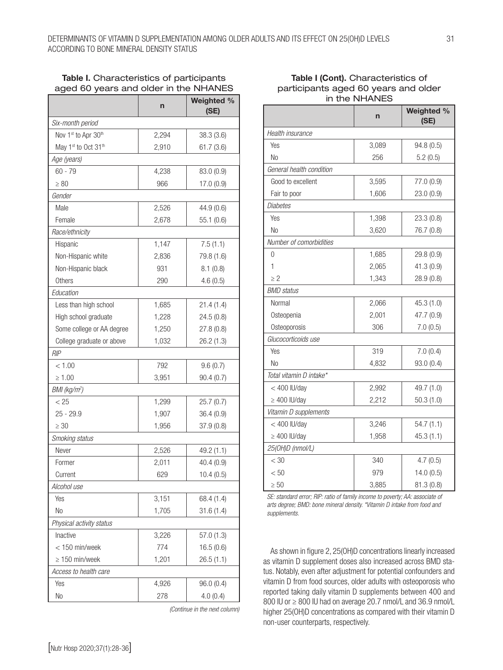# Table I. Characteristics of participants aged 60 years and older in the NHANES

|                           | $\mathsf{r}$ | Weighted %<br>(SE) |  |  |  |
|---------------------------|--------------|--------------------|--|--|--|
| Six-month period          |              |                    |  |  |  |
| Nov 1st to Apr 30th       | 2,294        | 38.3(3.6)          |  |  |  |
| May 1st to Oct 31th       | 2,910        | 61.7(3.6)          |  |  |  |
| Age (years)               |              |                    |  |  |  |
| $60 - 79$                 | 4,238        | 83.0 (0.9)         |  |  |  |
| $\geq 80$                 | 966          | 17.0 (0.9)         |  |  |  |
| Gender                    |              |                    |  |  |  |
| Male                      | 2,526        | 44.9 (0.6)         |  |  |  |
| Female                    | 2,678        | 55.1(0.6)          |  |  |  |
| Race/ethnicity            |              |                    |  |  |  |
| Hispanic                  | 1,147        | 7.5(1.1)           |  |  |  |
| Non-Hispanic white        | 2,836        | 79.8 (1.6)         |  |  |  |
| Non-Hispanic black        | 931          | 8.1(0.8)           |  |  |  |
| <b>Others</b>             | 290          | 4.6(0.5)           |  |  |  |
| Education                 |              |                    |  |  |  |
| Less than high school     | 1,685        | 21.4(1.4)          |  |  |  |
| High school graduate      | 1,228        | 24.5 (0.8)         |  |  |  |
| Some college or AA degree | 1,250        | 27.8(0.8)          |  |  |  |
| College graduate or above | 1,032        | 26.2(1.3)          |  |  |  |
| RIP                       |              |                    |  |  |  |
| < 1.00                    | 792          | 9.6(0.7)           |  |  |  |
| $\geq 1.00$               | 3,951        | 90.4(0.7)          |  |  |  |
| BMI (kg/m <sup>2</sup> )  |              |                    |  |  |  |
| < 25                      | 1,299        | 25.7(0.7)          |  |  |  |
| 25 - 29.9                 | 1,907        | 36.4 (0.9)         |  |  |  |
| $\geq 30$                 | 1,956        | 37.9 (0.8)         |  |  |  |
| Smoking status            |              |                    |  |  |  |
| Never                     | 2,526        | 49.2 (1.1)         |  |  |  |
| Former                    | 2,011        | 40.4 (0.9)         |  |  |  |
| Current                   | 629          | 10.4(0.5)          |  |  |  |
| Alcohol use               |              |                    |  |  |  |
| Yes                       | 3,151        | 68.4 (1.4)         |  |  |  |
| N <sub>o</sub>            | 1,705        | 31.6(1.4)          |  |  |  |
| Physical activity status  |              |                    |  |  |  |
| Inactive                  | 3,226        | 57.0(1.3)          |  |  |  |
| < 150 min/week            | 774          | 16.5(0.6)          |  |  |  |
| $\geq 150$ min/week       | 1,201        | 26.5 (1.1)         |  |  |  |
| Access to health care     |              |                    |  |  |  |
| Yes                       | 4,926        | 96.0 (0.4)         |  |  |  |
| No                        | 278          | 4.0(0.4)           |  |  |  |

*(Continue in the next column)*

*Health insurance*

| Yes                      | 3,089               | 94.8 (0.5) |  |  |
|--------------------------|---------------------|------------|--|--|
| N <sub>0</sub>           | 256                 | 5.2(0.5)   |  |  |
| General health condition |                     |            |  |  |
| Good to excellent        | 3,595<br>77.0 (0.9) |            |  |  |
| Fair to poor             | 1,606               | 23.0(0.9)  |  |  |
| <b>Diabetes</b>          |                     |            |  |  |
| Yes                      | 1,398               | 23.3(0.8)  |  |  |
| <b>No</b>                | 3,620               | 76.7 (0.8) |  |  |
| Number of comorbidities  |                     |            |  |  |
| $\Omega$                 | 1,685               | 29.8(0.9)  |  |  |
| 1                        | 2,065               | 41.3(0.9)  |  |  |
| $\geq$ 2                 | 1,343               | 28.9(0.8)  |  |  |
| <b>BMD</b> status        |                     |            |  |  |
| Normal                   | 2,066               | 45.3 (1.0) |  |  |
| Osteopenia               | 2,001               | 47.7 (0.9) |  |  |
| Osteoporosis             | 306                 | 7.0(0.5)   |  |  |
| Glucocorticoids use      |                     |            |  |  |
| Yes                      | 319                 | 7.0(0.4)   |  |  |
| <b>No</b>                | 4,832               | 93.0 (0.4) |  |  |
| Total vitamin D intake*  |                     |            |  |  |
| $<$ 400 IU/day           | 2,992               | 49.7 (1.0) |  |  |
| $\geq$ 400 IU/day        | 2,212               | 50.3(1.0)  |  |  |
| Vitamin D supplements    |                     |            |  |  |
| $<$ 400 IU/day           | 3,246               | 54.7(1.1)  |  |  |
| $\geq 400$ IU/day        | 1,958               | 45.3(1.1)  |  |  |
| 25(OH)D (nmol/L)         |                     |            |  |  |
| $<$ 30                   | 340                 | 4.7(0.5)   |  |  |
| < 50                     | 979                 | 14.0(0.5)  |  |  |
| $\geq 50$                | 3,885               | 81.3 (0.8) |  |  |

Table I (Cont). Characteristics of participants aged 60 years and older in the NHANES

*SE: standard error; RIP: ratio of family income to poverty; AA: associate of arts degree; BMD: bone mineral density. \*Vitamin D intake from food and supplements.*

As shown in figure 2, 25(OH)D concentrations linearly increased as vitamin D supplement doses also increased across BMD status. Notably, even after adjustment for potential confounders and vitamin D from food sources, older adults with osteoporosis who reported taking daily vitamin D supplements between 400 and 800 IU or ≥ 800 IU had on average 20.7 nmol/L and 36.9 nmol/L higher 25(OH)D concentrations as compared with their vitamin D non-user counterparts, respectively.

n Weighted %

(SE)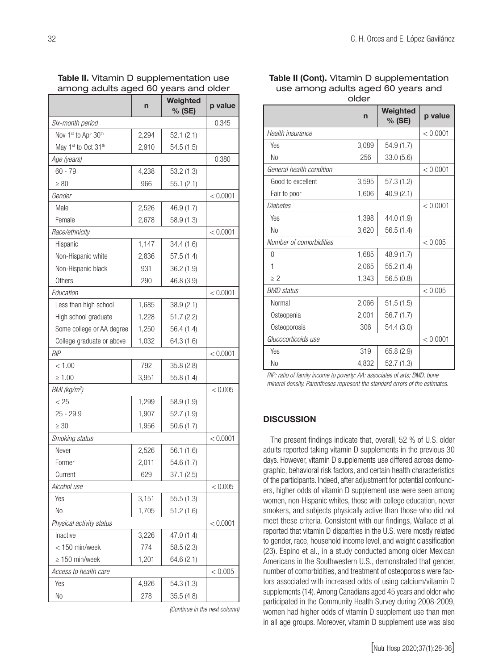among adults aged 60 years and older n Weighted  $\frac{9}{6}$  (SE)  $\frac{1}{6}$  p value *Six-month period* 0.345 Nov 1st to Apr  $30^{th}$  2,294 52.1 (2.1) May 1<sup>st</sup> to Oct 31<sup>th</sup> 2,910 54.5 (1.5) *Age (years)* 0.380 60 - 79 4,238 53.2 (1.3)  $> 80$  966 55.1 (2.1) *Gender*  $|$  < 0.0001 Male 2,526 46.9 (1.7) Female 2,678 58.9 (1.3) *Race/ethnicity* < 0.0001 Hispanic 1,147 34.4 (1.6) Non-Hispanic white  $\begin{array}{|c|c|c|c|c|c|} \hline 2,836 & 57.5 & (1.4) \hline \end{array}$ Non-Hispanic black 1931 36.2 (1.9) Others 290 46.8 (3.9) *Education* < 0.0001 Less than high school  $\begin{vmatrix} 1,685 & 38.9 & (2.1) \end{vmatrix}$ High school graduate  $\begin{vmatrix} 1,228 & 51.7 & (2.2) \\ 1,228 & 51.7 & (2.2) \end{vmatrix}$ Some college or AA degree  $\begin{vmatrix} 1,250 & 56.4 & (1.4) \end{vmatrix}$ College graduate or above  $\begin{vmatrix} 1,032 & 64.3 \\ 1,032 & 64.3 \end{vmatrix}$ *RIP* < 0.0001  $< 1.00$  792 35.8 (2.8)  $\geq 1.00$   $\qquad \qquad$  3.951 55.8 (1.4) *BMI (kg/m2*  $< 0.005$  $< 25$  1,299 58.9 (1.9) 25 - 29.9 1,907 52.7 (1.9)  $\geq$  30 1,956 50.6 (1.7) *Smoking status* < 0.0001 Never 2,526 56.1 (1.6) Former 2,011 54.6 (1.7) Current 629 37.1 (2.5) *Alcohol use* < 0.005 Yes 2,151 55.5 (1.3) No 1,705 51.2 (1.6) *Physical activity status* < 0.0001 Inactive 3,226 47.0 (1.4)  $<$  150 min/week 774 58.5 (2.3)  $\geq$  150 min/week 1,201 64.6 (2.1) Access to health care  $\vert$  < 0.005 Yes 2.4,926 54.3 (1.3) No 278 35.5 (4.8)

Table II. Vitamin D supplementation use

*(Continue in the next column)*

Table II (Cont). Vitamin D supplementation use among adults aged 60 years and

| older                   |                    |          |  |  |  |
|-------------------------|--------------------|----------|--|--|--|
| n                       | Weighted<br>% (SE) | p value  |  |  |  |
|                         |                    | < 0.0001 |  |  |  |
| 3,089                   | 54.9 (1.7)         |          |  |  |  |
| 256                     | 33.0(5.6)          |          |  |  |  |
|                         |                    | < 0.0001 |  |  |  |
| 3,595                   | 57.3(1.2)          |          |  |  |  |
| 1,606                   | 40.9(2.1)          |          |  |  |  |
|                         |                    | < 0.0001 |  |  |  |
| 1,398                   | 44.0 (1.9)         |          |  |  |  |
| 3,620                   | 56.5(1.4)          |          |  |  |  |
| Number of comorbidities |                    |          |  |  |  |
| 1,685                   | 48.9 (1.7)         |          |  |  |  |
| 2,065                   | 55.2(1.4)          |          |  |  |  |
| 1,343                   | 56.5(0.8)          |          |  |  |  |
|                         |                    | < 0.005  |  |  |  |
| 2,066                   | 51.5(1.5)          |          |  |  |  |
| 2,001                   | 56.7(1.7)          |          |  |  |  |
| 306                     | 54.4 (3.0)         |          |  |  |  |
| Glucocorticoids use     |                    |          |  |  |  |
| 319                     | 65.8 (2.9)         |          |  |  |  |
| 4,832                   | 52.7(1.3)          |          |  |  |  |
|                         |                    |          |  |  |  |

*RIP: ratio of family income to poverty; AA: associates of arts; BMD: bone mineral density. Parentheses represent the standard errors of the estimates.* 

# **DISCUSSION**

The present findings indicate that, overall, 52 % of U.S. older adults reported taking vitamin D supplements in the previous 30 days. However, vitamin D supplements use differed across demographic, behavioral risk factors, and certain health characteristics of the participants. Indeed, after adjustment for potential confounders, higher odds of vitamin D supplement use were seen among women, non-Hispanic whites, those with college education, never smokers, and subjects physically active than those who did not meet these criteria. Consistent with our findings, Wallace et al. reported that vitamin D disparities in the U.S. were mostly related to gender, race, household income level, and weight classification (23). Espino et al., in a study conducted among older Mexican Americans in the Southwestern U.S., demonstrated that gender, number of comorbidities, and treatment of osteoporosis were factors associated with increased odds of using calcium/vitamin D supplements (14). Among Canadians aged 45 years and older who participated in the Community Health Survey during 2008-2009, women had higher odds of vitamin D supplement use than men in all age groups. Moreover, vitamin D supplement use was also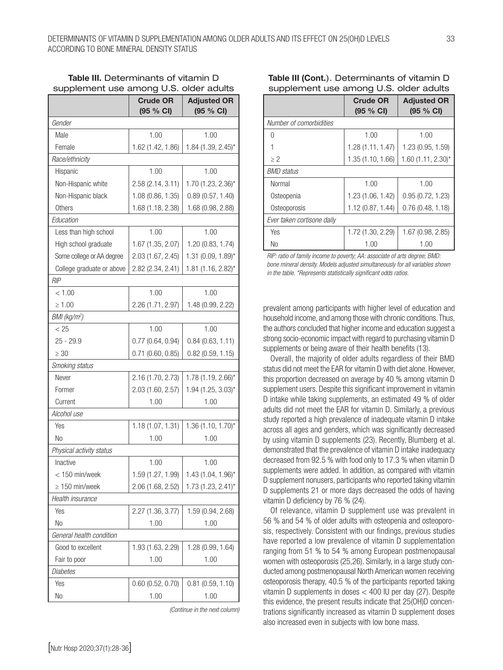|                            | <b>Crude OR</b><br>$(95 \% CI)$ | <b>Adjusted OR</b><br>(95 % CI) |
|----------------------------|---------------------------------|---------------------------------|
| Gender                     |                                 |                                 |
| Male                       | 1.00                            | 1.00                            |
| Female                     | 1.62 (1.42, 1.86)               | 1.84 (1.39, 2.45)*              |
| Race/ethnicity             |                                 |                                 |
| Hispanic                   | 1.00                            | 1.00                            |
| Non-Hispanic white         | 2.58 (2.14, 3.11)               | 1.70 (1.23, 2.36)*              |
| Non-Hispanic black         | 1.08 (0.86, 1.35)               | 0.89(0.57, 1.40)                |
| Others                     | 1.68 (1.18, 2.38)               | 1.68 (0.98, 2.88)               |
| Education                  |                                 |                                 |
| Less than high school      | 1.00                            | 1.00                            |
| High school graduate       | 1.67 (1.35, 2.07)               | 1.20 (0.83, 1.74)               |
| Some college or AA degree  | 2.03 (1.67, 2.45)               | 1.31 (0.09, 1.89)*              |
| College graduate or above  | 2.82 (2.34, 2.41)               | 1.81 (1.16, 2.82)*              |
| <b>RIP</b>                 |                                 |                                 |
| < 1.00                     | 1.00                            | 1.00                            |
| $\geq 1.00$                | 2.26 (1.71, 2.97)               | 1.48 (0.99, 2.22)               |
| $BMl$ (kg/m <sup>2</sup> ) |                                 |                                 |
| < 25                       | 1.00                            | 1.00                            |
| $25 - 29.9$                | 0.77(0.64, 0.94)                | 0.84(0.63, 1.11)                |
| $\geq 30$                  | $0.71$ (0.60, 0.85)             | $0.82$ (0.59, 1.15)             |
| Smoking status             |                                 |                                 |
| Never                      | 2.16 (1.70, 2.73)               | 1.78 (1.19, 2.66)*              |
| Former                     | 2.03 (1.60, 2.57)               | 1.94 (1.25, 3.03)*              |
| Current                    | 1.00                            | 1.00                            |
| Alcohol use                |                                 |                                 |
| Yes                        | 1.18 (1.07, 1.31)               | $1.36(1.10, 1.70)^{*}$          |
| No                         | 1.00                            | 1.00                            |
| Physical activity status   |                                 |                                 |
| Inactive                   | 1.00                            | 1.00                            |
| $<$ 150 min/week           | 1.59 (1.27, 1.99)               | $1.43(1.04, 1.96)$ *            |
| $\geq 150$ min/week        | 2.06 (1.68, 2.52)               | 1.73 (1.23, 2.41)*              |
| Health insurance           |                                 |                                 |
| Yes                        | 2.27 (1.36, 3.77)               | 1.59 (0.94, 2.68)               |
| No                         | 1.00                            | 1.00                            |
| General health condition   |                                 |                                 |
| Good to excellent          | 1.93 (1.63, 2.29)               | 1.28 (0.99, 1.64)               |
| Fair to poor               | 1.00                            | 1.00                            |
| Diabetes                   |                                 |                                 |
| Yes                        | $0.60$ (0.52, 0.70)             | $0.81$ (0.59, 1.10)             |
| No                         | 1.00                            | 1.00                            |

# Table III. Determinants of vitamin D supplement use among U.S. older adults

*(Continue in the next column)*

|                            | <b>Crude OR</b><br>$(95 \% CI)$ | <b>Adjusted OR</b><br>(95 % CI) |  |
|----------------------------|---------------------------------|---------------------------------|--|
| Number of comorbidities    |                                 |                                 |  |
| N                          | 1.00                            | 1.00                            |  |
|                            | 1.28 (1.11, 1.47)               | 1.23 (0.95, 1.59)               |  |
| $\geq$ 2                   | 1.35 (1.10, 1.66)               | $1.60$ (1.11, 2.30)*            |  |
| <b>BMD</b> status          |                                 |                                 |  |
| Normal                     | 1.00                            | 1.00                            |  |
| Osteopenia                 | 1.23 (1.06, 1.42)               | 0.95(0.72, 1.23)                |  |
| Osteoporosis               | 1.12 (0.87, 1.44)               | 0.76(0.48, 1.18)                |  |
| Ever taken cortisone daily |                                 |                                 |  |
| Yes                        | 1.72 (1.30, 2.29)               | 1.67(0.98, 2.85)                |  |
| No                         | 1.00                            | 1.00                            |  |

# Table III (Cont.). Determinants of vitamin D supplement use among U.S. older adults

*RIP: ratio of family income to poverty; AA: associate of arts degree; BMD: bone mineral density. Models adjusted simultaneously for all variables shown in the table. \*Represents statistically significant odds ratios.*

prevalent among participants with higher level of education and household income, and among those with chronic conditions. Thus, the authors concluded that higher income and education suggest a strong socio-economic impact with regard to purchasing vitamin D supplements or being aware of their health benefits (13).

Overall, the majority of older adults regardless of their BMD status did not meet the EAR for vitamin D with diet alone. However, this proportion decreased on average by 40 % among vitamin D supplement users. Despite this significant improvement in vitamin D intake while taking supplements, an estimated 49 % of older adults did not meet the EAR for vitamin D. Similarly, a previous study reported a high prevalence of inadequate vitamin D intake across all ages and genders, which was significantly decreased by using vitamin D supplements (23). Recently, Blumberg et al. demonstrated that the prevalence of vitamin D intake inadequacy decreased from 92.5 % with food only to 17.3 % when vitamin D supplements were added. In addition, as compared with vitamin D supplement nonusers, participants who reported taking vitamin D supplements 21 or more days decreased the odds of having vitamin D deficiency by 76 % (24).

Of relevance, vitamin D supplement use was prevalent in 56 % and 54 % of older adults with osteopenia and osteoporosis, respectively. Consistent with our findings, previous studies have reported a low prevalence of vitamin D supplementation ranging from 51 % to 54 % among European postmenopausal women with osteoporosis (25,26). Similarly, in a large study conducted among postmenopausal North American women receiving osteoporosis therapy, 40.5 % of the participants reported taking vitamin D supplements in doses < 400 IU per day (27). Despite this evidence, the present results indicate that 25(OH)D concentrations significantly increased as vitamin D supplement doses also increased even in subjects with low bone mass.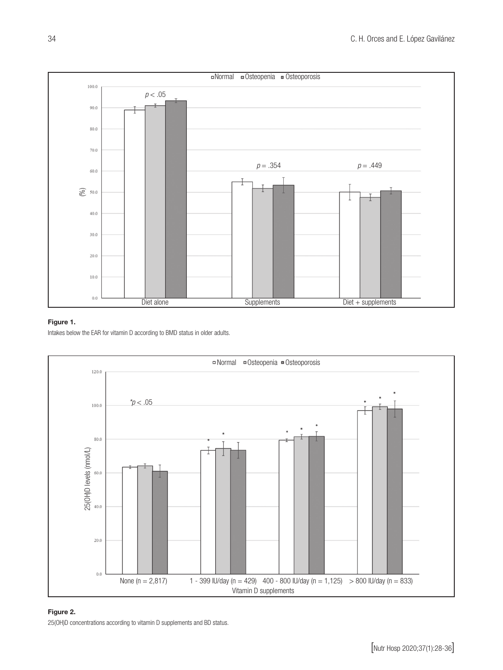

# Figure 1.

Intakes below the EAR for vitamin D according to BMD status in older adults.



# Figure 2.

25(OH)D concentrations according to vitamin D supplements and BD status.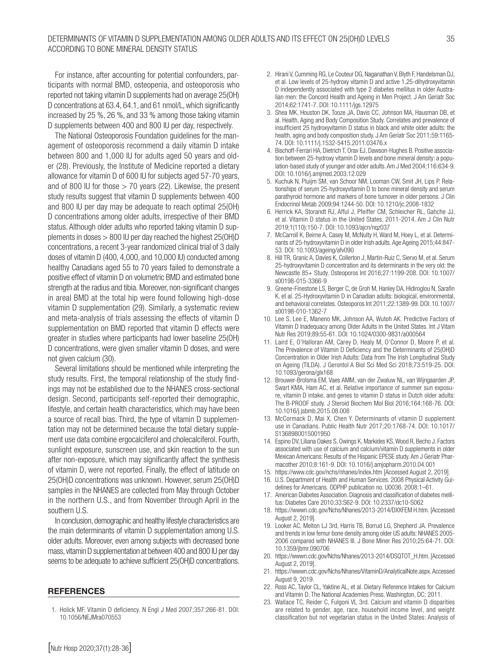For instance, after accounting for potential confounders, participants with normal BMD, osteopenia, and osteoporosis who reported not taking vitamin D supplements had on average 25(OH) D concentrations at 63.4, 64.1, and 61 nmol/L, which significantly increased by 25 %, 26 %, and 33 % among those taking vitamin D supplements between 400 and 800 IU per day, respectively.

The National Osteoporosis Foundation guidelines for the management of osteoporosis recommend a daily vitamin D intake between 800 and 1,000 IU for adults aged 50 years and older (28). Previously, the Institute of Medicine reported a dietary allowance for vitamin D of 600 IU for subjects aged 57-70 years, and of 800 IU for those  $>$  70 years (22). Likewise, the present study results suggest that vitamin D supplements between 400 and 800 IU per day may be adequate to reach optimal 25(OH) D concentrations among older adults, irrespective of their BMD status. Although older adults who reported taking vitamin D supplements in doses > 800 IU per day reached the highest 25(OH)D concentrations, a recent 3-year randomized clinical trial of 3 daily doses of vitamin D (400, 4,000, and 10,000 IU) conducted among healthy Canadians aged 55 to 70 years failed to demonstrate a positive effect of vitamin D on volumetric BMD and estimated bone strength at the radius and tibia. Moreover, non-significant changes in areal BMD at the total hip were found following high-dose vitamin D supplementation (29). Similarly, a systematic review and meta-analysis of trials assessing the effects of vitamin D supplementation on BMD reported that vitamin D effects were greater in studies where participants had lower baseline 25(OH) D concentrations, were given smaller vitamin D doses, and were not given calcium (30).

Several limitations should be mentioned while interpreting the study results. First, the temporal relationship of the study findings may not be established due to the NHANES cross-sectional design. Second, participants self-reported their demographic, lifestyle, and certain health characteristics, which may have been a source of recall bias. Third, the type of vitamin D supplementation may not be determined because the total dietary supplement use data combine ergocalciferol and cholecalciferol. Fourth, sunlight exposure, sunscreen use, and skin reaction to the sun after non-exposure, which may significantly affect the synthesis of vitamin D, were not reported. Finally, the effect of latitude on 25(OH)D concentrations was unknown. However, serum 25(OH)D samples in the NHANES are collected from May through October in the northern U.S., and from November through April in the southern U.S.

In conclusion, demographic and healthy lifestyle characteristics are the main determinants of vitamin D supplementation among U.S. older adults. Moreover, even among subjects with decreased bone mass, vitamin D supplementation at between 400 and 800 IU per day seems to be adequate to achieve sufficient 25(OH)D concentrations.

#### REFERENCES

1. Holick MF. Vitamin D deficiency. N Engl J Med 2007;357:266-81. DOI: 10.1056/NEJMra070553

- 2. Hirani V, Cumming RG, Le Couteur DG, Naganathan V, Blyth F, Handelsman DJ, et al. Low levels of 25-hydroxy vitamin D and active 1,25-dihydroxyvitamin D independently associated with type 2 diabetes mellitus in older Australian men: the Concord Health and Ageing in Men Project. J Am Geriatr Soc 2014;62:1741-7. DOI: 10.1111/jgs.12975
- 3. Shea MK, Houston DK, Tooze JA, Davis CC, Johnson MA, Hausman DB, et al. Health, Aging and Body Composition Study. Correlates and prevalence of insufficient 25 hydroxyvitamin D status in black and white older adults: the health, aging and body composition study. J Am Geriatr Soc 2011;59:1165- 74. DOI: 10.1111/j.1532-5415.2011.03476.x
- 4. Bischoff-Ferrari HA, Dietrich T, Orav EJ, Dawson-Hughes B. Positive association between 25-hydroxy vitamin D levels and bone mineral density: a population-based study of younger and older adults. Am J Med 2004;116:634-9. DOI: 10.1016/j.amjmed.2003.12.029
- 5. Kuchuk N, Pluijm SM, van Schoor NM, Looman CW, Smit JH, Lips P. Relationships of serum 25-hydroxyvitamin D to bone mineral density and serum parathyroid hormone and markers of bone turnover in older persons. J Clin Endocrinol Metab 2009;94:1244-50. DOI: 10.1210/jc.2008-1832
- 6. Herrick KA, Storandt RJ, Afful J, Pfeiffer CM, Schleicher RL, Gahche JJ, et al. Vitamin D status in the United States, 2011-2014. Am J Clin Nutr 2019;1(110):150-7. DOI: 10.1093/ajcn/nqz037
- 7. McCarroll K, Beirne A, Casey M, McNulty H, Ward M, Hoey L, et al. Determinants of 25-hydroxyvitamin D in older Irish adults. Age Ageing 2015;44:847- 53. DOI: 10.1093/ageing/afv090
- 8. Hill TR, Granic A, Davies K, Collerton J, Martin-Ruiz C, Siervo M, et al. Serum 25-hydroxyvitamin D concentration and its determinants in the very old: the Newcastle 85+ Study. Osteoporos Int 2016;27:1199-208. DOI: 10.1007/ s00198-015-3366-9
- 9. Greene-Finestone LS, Berger C, de Groh M, Hanley DA, Hidiroglou N, Sarafin K, et al. 25-Hydroxyvitamin D in Canadian adults: biological, environmental, and behavioral correlates. Osteoporos Int 2011;22:1389-99. DOI: 10.1007/ s00198-010-1362-7
- 10. Lee S, Lee E, Maneno MK, Johnson AA, Wutoh AK. Predictive Factors of Vitamin D Inadequacy among Older Adults in the United States. Int J Vitam Nutr Res 2019;89:55-61. DOI: 10.1024/0300-9831/a000564
- 11. Laird E, O'Halloran AM, Carey D, Healy M, O'Connor D, Moore P, et al. The Prevalence of Vitamin D Deficiency and the Determinants of 25(OH)D Concentration in Older Irish Adults: Data from The Irish Longitudinal Study on Ageing (TILDA). J Gerontol A Biol Sci Med Sci 2018;73:519-25. DOI: 10.1093/gerona/glx168
- 12. Brouwer-Brolsma EM, Vaes AMM, van der Zwaluw NL, van Wijngaarden JP, Swart KMA, Ham AC, et al. Relative importance of summer sun exposure, vitamin D intake, and genes to vitamin D status in Dutch older adults: The B-PROOF study. J Steroid Biochem Mol Biol 2016;164:168-76. DOI: 10.1016/j.jsbmb.2015.08.008
- 13. McCormack D, Mai X, Chen Y. Determinants of vitamin D supplement use in Canadians. Public Health Nutr 2017;20:1768-74. DOI: 10.1017/ S1368980015001950
- 14. Espino DV, Liliana Oakes S, Owings K, Markides KS, Wood R, Becho J. Factors associated with use of calcium and calcium/vitamin D supplements in older Mexican Americans: Results of the Hispanic EPESE study. Am J Geriatr Pharmacother 2010;8:161-9. DOI: 10.1016/j.amjopharm.2010.04.001
- 15. https://www.cdc.gov/nchs/nhanes/index.htm [Accessed August 2, 2019].
- 16. U.S. Department of Health and Human Services. 2008 Physical Activity Guidelines for Americans. ODPHP publication no. U0036. 2008:1–61.
- 17. American Diabetes Association. Diagnosis and classification of diabetes mellitus: Diabetes Care 2010;33:S62-9. DOI: 10.2337/dc10-S062
- 18. https://wwwn.cdc.gov/Nchs/Nhanes/2013-2014/DXXFEM H.htm. [Accessed August 2, 2019].
- 19. Looker AC, Melton LJ 3rd, Harris TB, Borrud LG, Shepherd JA. Prevalence and trends in low femur bone density among older US adults: NHANES 2005- 2006 compared with NHANES III. J Bone Miner Res 2010;25:64-71. DOI: 10.1359/jbmr.090706
- 20. https://wwwn.cdc.gov/Nchs/Nhanes/2013-2014/DSQTOT\_H.htm. [Accessed August 2, 2019].
- 21. https://wwwn.cdc.gov/Nchs/Nhanes/VitaminD/AnalyticalNote.aspx. Accessed August 9, 2019.
- 22. Ross AC, Taylor CL, Yaktine AL, et al. Dietary Reference Intakes for Calcium and Vitamin D. The National Academies Press. Washington, DC; 2011.
- 23. Wallace TC, Reider C, Fulgoni VL 3rd. Calcium and vitamin D disparities are related to gender, age, race, household income level, and weight classification but not vegetarian status in the United States: Analysis of